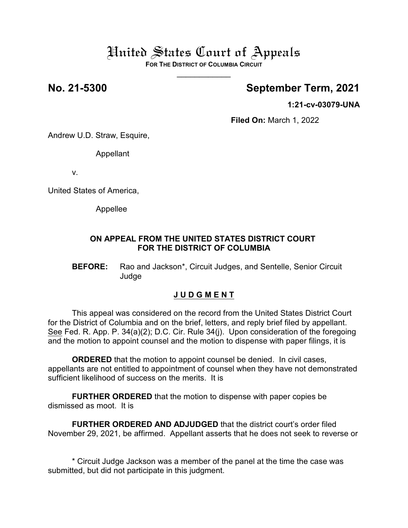# United States Court of Appeals

**FOR THE DISTRICT OF COLUMBIA CIRCUIT**  $\overline{\phantom{a}}$ 

## **No. 21-5300 September Term, 2021**

**1:21-cv-03079-UNA**

**Filed On:** March 1, 2022

Andrew U.D. Straw, Esquire,

Appellant

v.

United States of America,

Appellee

### **ON APPEAL FROM THE UNITED STATES DISTRICT COURT FOR THE DISTRICT OF COLUMBIA**

**BEFORE:** Rao and Jackson\*, Circuit Judges, and Sentelle, Senior Circuit Judge

## **J U D G M E N T**

This appeal was considered on the record from the United States District Court for the District of Columbia and on the brief, letters, and reply brief filed by appellant. See Fed. R. App. P. 34(a)(2); D.C. Cir. Rule 34(j). Upon consideration of the foregoing and the motion to appoint counsel and the motion to dispense with paper filings, it is

**ORDERED** that the motion to appoint counsel be denied. In civil cases, appellants are not entitled to appointment of counsel when they have not demonstrated sufficient likelihood of success on the merits. It is

**FURTHER ORDERED** that the motion to dispense with paper copies be dismissed as moot. It is

**FURTHER ORDERED AND ADJUDGED** that the district court's order filed November 29, 2021, be affirmed. Appellant asserts that he does not seek to reverse or

\* Circuit Judge Jackson was a member of the panel at the time the case was submitted, but did not participate in this judgment.